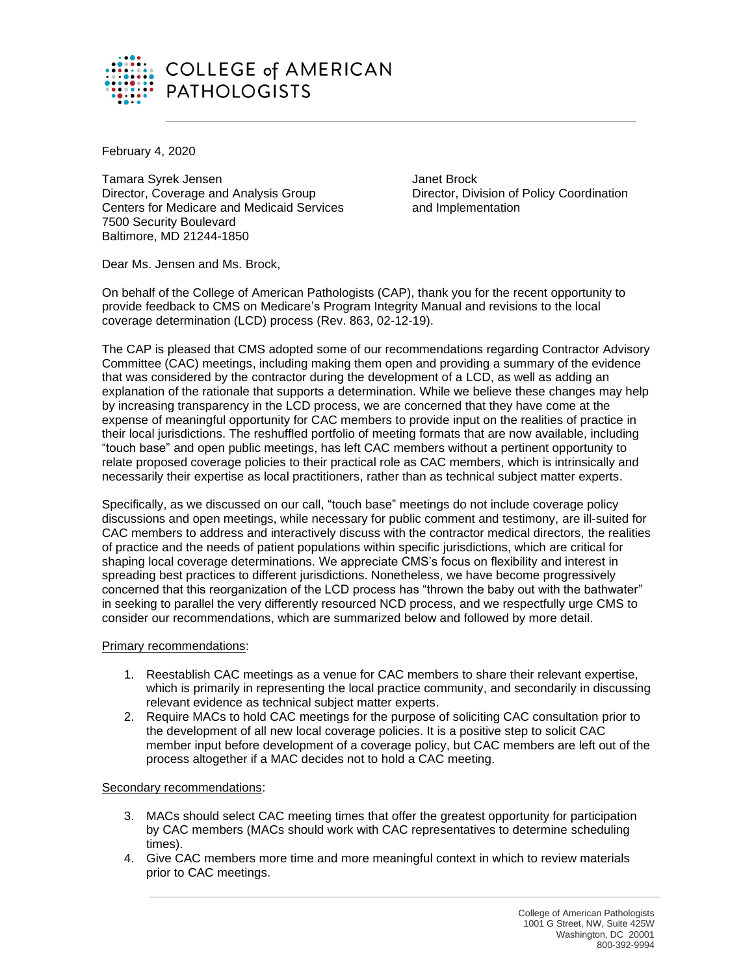

February 4, 2020

Tamara Syrek Jensen Janet Brock Director, Coverage and Analysis Group Director, Division of Policy Coordination Centers for Medicare and Medicaid Services and Implementation 7500 Security Boulevard Baltimore, MD 21244-1850

Dear Ms. Jensen and Ms. Brock,

On behalf of the College of American Pathologists (CAP), thank you for the recent opportunity to provide feedback to CMS on Medicare's Program Integrity Manual and revisions to the local coverage determination (LCD) process (Rev. 863, 02-12-19).

The CAP is pleased that CMS adopted some of our recommendations regarding Contractor Advisory Committee (CAC) meetings, including making them open and providing a summary of the evidence that was considered by the contractor during the development of a LCD, as well as adding an explanation of the rationale that supports a determination. While we believe these changes may help by increasing transparency in the LCD process, we are concerned that they have come at the expense of meaningful opportunity for CAC members to provide input on the realities of practice in their local jurisdictions. The reshuffled portfolio of meeting formats that are now available, including "touch base" and open public meetings, has left CAC members without a pertinent opportunity to relate proposed coverage policies to their practical role as CAC members, which is intrinsically and necessarily their expertise as local practitioners, rather than as technical subject matter experts.

Specifically, as we discussed on our call, "touch base" meetings do not include coverage policy discussions and open meetings, while necessary for public comment and testimony, are ill-suited for CAC members to address and interactively discuss with the contractor medical directors, the realities of practice and the needs of patient populations within specific jurisdictions, which are critical for shaping local coverage determinations. We appreciate CMS's focus on flexibility and interest in spreading best practices to different jurisdictions. Nonetheless, we have become progressively concerned that this reorganization of the LCD process has "thrown the baby out with the bathwater" in seeking to parallel the very differently resourced NCD process, and we respectfully urge CMS to consider our recommendations, which are summarized below and followed by more detail.

## Primary recommendations:

- 1. Reestablish CAC meetings as a venue for CAC members to share their relevant expertise, which is primarily in representing the local practice community, and secondarily in discussing relevant evidence as technical subject matter experts.
- 2. Require MACs to hold CAC meetings for the purpose of soliciting CAC consultation prior to the development of all new local coverage policies. It is a positive step to solicit CAC member input before development of a coverage policy, but CAC members are left out of the process altogether if a MAC decides not to hold a CAC meeting.

## Secondary recommendations:

- 3. MACs should select CAC meeting times that offer the greatest opportunity for participation by CAC members (MACs should work with CAC representatives to determine scheduling times).
- 4. Give CAC members more time and more meaningful context in which to review materials prior to CAC meetings.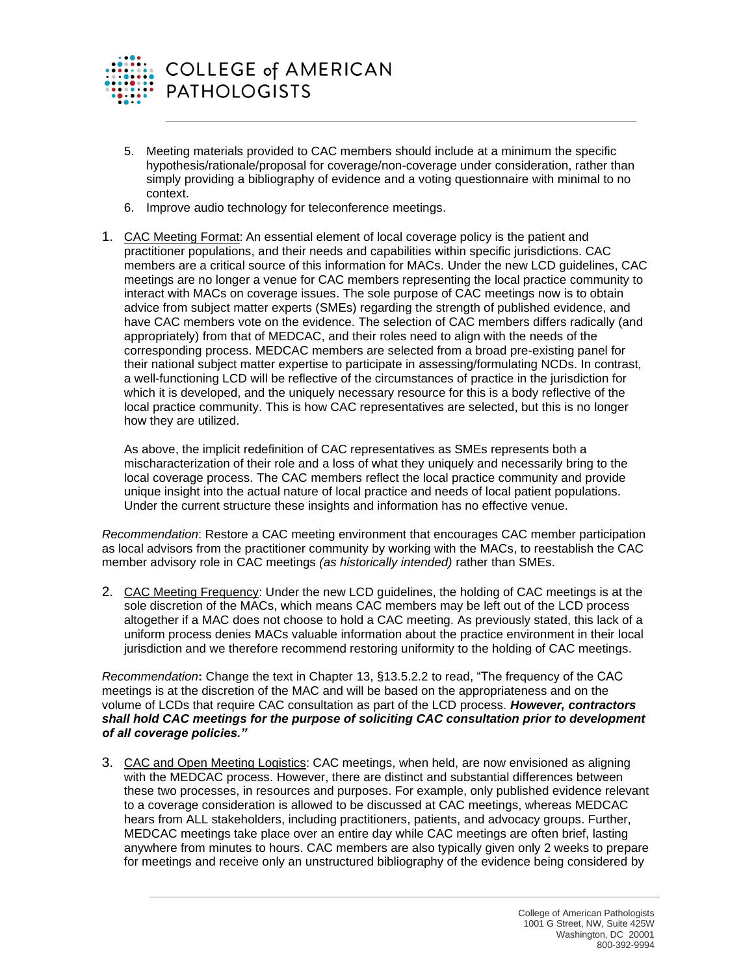

- 5. Meeting materials provided to CAC members should include at a minimum the specific hypothesis/rationale/proposal for coverage/non-coverage under consideration, rather than simply providing a bibliography of evidence and a voting questionnaire with minimal to no context.
- 6. Improve audio technology for teleconference meetings.
- 1. CAC Meeting Format: An essential element of local coverage policy is the patient and practitioner populations, and their needs and capabilities within specific jurisdictions. CAC members are a critical source of this information for MACs. Under the new LCD guidelines, CAC meetings are no longer a venue for CAC members representing the local practice community to interact with MACs on coverage issues. The sole purpose of CAC meetings now is to obtain advice from subject matter experts (SMEs) regarding the strength of published evidence, and have CAC members vote on the evidence. The selection of CAC members differs radically (and appropriately) from that of MEDCAC, and their roles need to align with the needs of the corresponding process. MEDCAC members are selected from a broad pre-existing panel for their national subject matter expertise to participate in assessing/formulating NCDs. In contrast, a well-functioning LCD will be reflective of the circumstances of practice in the jurisdiction for which it is developed, and the uniquely necessary resource for this is a body reflective of the local practice community. This is how CAC representatives are selected, but this is no longer how they are utilized.

As above, the implicit redefinition of CAC representatives as SMEs represents both a mischaracterization of their role and a loss of what they uniquely and necessarily bring to the local coverage process. The CAC members reflect the local practice community and provide unique insight into the actual nature of local practice and needs of local patient populations. Under the current structure these insights and information has no effective venue.

*Recommendation*: Restore a CAC meeting environment that encourages CAC member participation as local advisors from the practitioner community by working with the MACs, to reestablish the CAC member advisory role in CAC meetings *(as historically intended)* rather than SMEs.

2. CAC Meeting Frequency: Under the new LCD guidelines, the holding of CAC meetings is at the sole discretion of the MACs, which means CAC members may be left out of the LCD process altogether if a MAC does not choose to hold a CAC meeting. As previously stated, this lack of a uniform process denies MACs valuable information about the practice environment in their local jurisdiction and we therefore recommend restoring uniformity to the holding of CAC meetings.

*Recommendation***:** Change the text in Chapter 13, §13.5.2.2 to read, "The frequency of the CAC meetings is at the discretion of the MAC and will be based on the appropriateness and on the volume of LCDs that require CAC consultation as part of the LCD process. *However, contractors shall hold CAC meetings for the purpose of soliciting CAC consultation prior to development of all coverage policies."*

3. CAC and Open Meeting Logistics: CAC meetings, when held, are now envisioned as aligning with the MEDCAC process. However, there are distinct and substantial differences between these two processes, in resources and purposes. For example, only published evidence relevant to a coverage consideration is allowed to be discussed at CAC meetings, whereas MEDCAC hears from ALL stakeholders, including practitioners, patients, and advocacy groups. Further, MEDCAC meetings take place over an entire day while CAC meetings are often brief, lasting anywhere from minutes to hours. CAC members are also typically given only 2 weeks to prepare for meetings and receive only an unstructured bibliography of the evidence being considered by